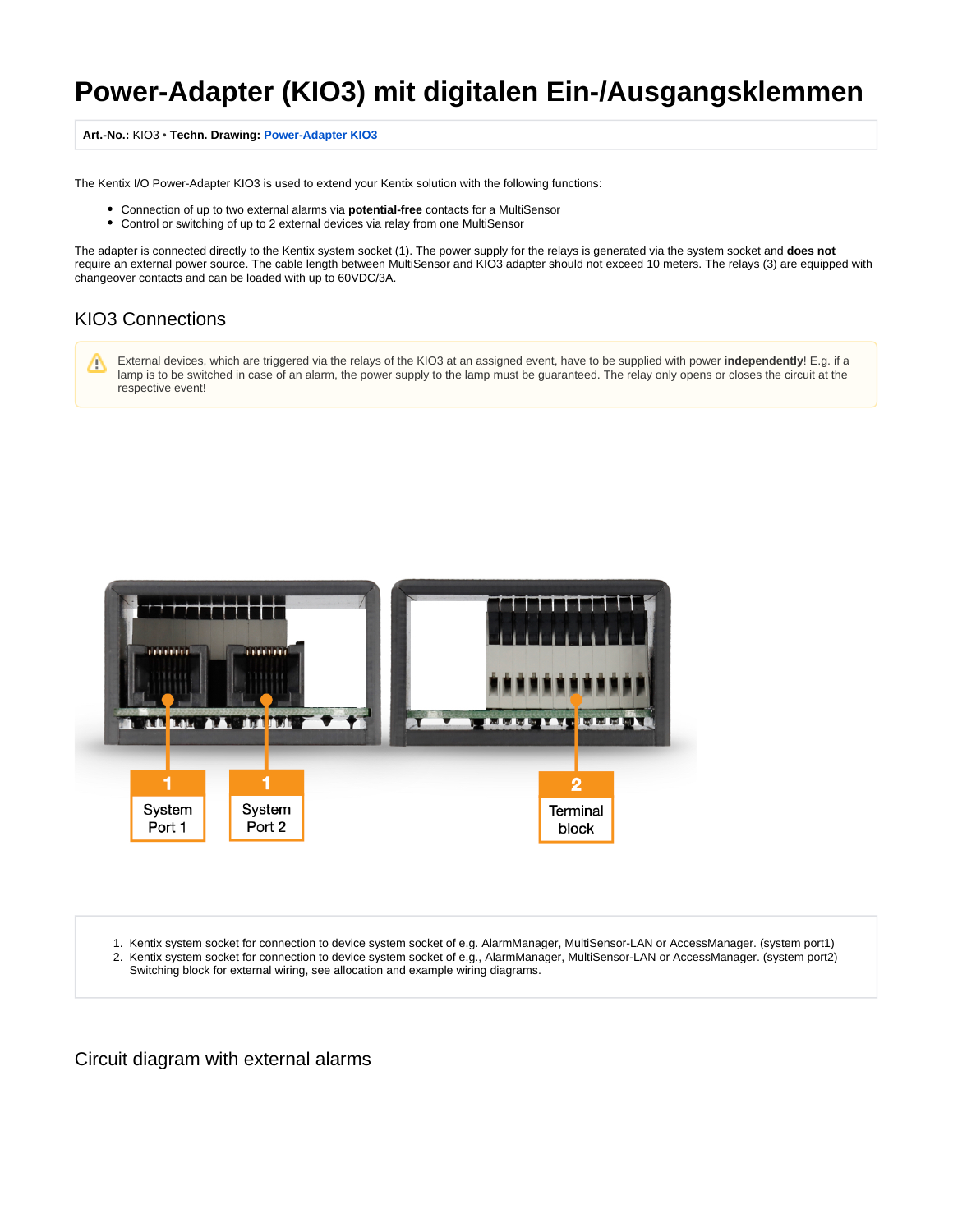## **Power-Adapter (KIO3) mit digitalen Ein-/Ausgangsklemmen**

## **Art.-No.:** KIO3 • **Techn. Drawing: [Power-Adapter KIO3](https://docs.kentix.com:443/download/attachments/327922/Techn.Drawing_KIO3.pdf?version=1&modificationDate=1591105171099&api=v2)**

The Kentix I/O Power-Adapter KIO3 is used to extend your Kentix solution with the following functions:

- Connection of up to two external alarms via **potential-free** contacts for a MultiSensor
- Control or switching of up to 2 external devices via relay from one MultiSensor

The adapter is connected directly to the Kentix system socket (1). The power supply for the relays is generated via the system socket and **does not** require an external power source. The cable length between MultiSensor and KIO3 adapter should not exceed 10 meters. The relays (3) are equipped with changeover contacts and can be loaded with up to 60VDC/3A.

## KIO3 Connections

External devices, which are triggered via the relays of the KIO3 at an assigned event, have to be supplied with power **independently**! E.g. if a Δ lamp is to be switched in case of an alarm, the power supply to the lamp must be guaranteed. The relay only opens or closes the circuit at the respective event!



1. Kentix system socket for connection to device system socket of e.g. AlarmManager, MultiSensor-LAN or AccessManager. (system port1) 2. Kentix system socket for connection to device system socket of e.g., AlarmManager, MultiSensor-LAN or AccessManager. (system port2) Switching block for external wiring, see allocation and example wiring diagrams.

Circuit diagram with external alarms